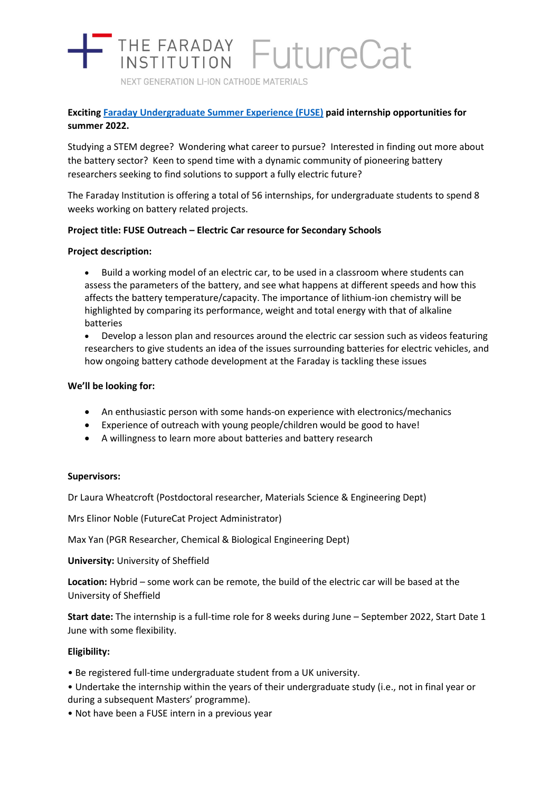# THE FARADAY FutureCat

NEXT GENERATION LI-ION CATHODE MATERIALS

# **Exciting [Faraday Undergraduate Summer Experience \(FUSE\)](https://www.faraday.ac.uk/fuse-2022/) paid internship opportunities for summer 2022.**

Studying a STEM degree? Wondering what career to pursue? Interested in finding out more about the battery sector? Keen to spend time with a dynamic community of pioneering battery researchers seeking to find solutions to support a fully electric future?

The Faraday Institution is offering a total of 56 internships, for undergraduate students to spend 8 weeks working on battery related projects.

# **Project title: FUSE Outreach – Electric Car resource for Secondary Schools**

# **Project description:**

- Build a working model of an electric car, to be used in a classroom where students can assess the parameters of the battery, and see what happens at different speeds and how this affects the battery temperature/capacity. The importance of lithium-ion chemistry will be highlighted by comparing its performance, weight and total energy with that of alkaline batteries
- Develop a lesson plan and resources around the electric car session such as videos featuring researchers to give students an idea of the issues surrounding batteries for electric vehicles, and how ongoing battery cathode development at the Faraday is tackling these issues

# **We'll be looking for:**

- An enthusiastic person with some hands-on experience with electronics/mechanics
- Experience of outreach with young people/children would be good to have!
- A willingness to learn more about batteries and battery research

#### **Supervisors:**

Dr Laura Wheatcroft (Postdoctoral researcher, Materials Science & Engineering Dept)

Mrs Elinor Noble (FutureCat Project Administrator)

Max Yan (PGR Researcher, Chemical & Biological Engineering Dept)

#### **University:** University of Sheffield

**Location:** Hybrid – some work can be remote, the build of the electric car will be based at the University of Sheffield

**Start date:** The internship is a full-time role for 8 weeks during June – September 2022, Start Date 1 June with some flexibility.

#### **Eligibility:**

- Be registered full-time undergraduate student from a UK university.
- Undertake the internship within the years of their undergraduate study (i.e., not in final year or during a subsequent Masters' programme).
- Not have been a FUSE intern in a previous year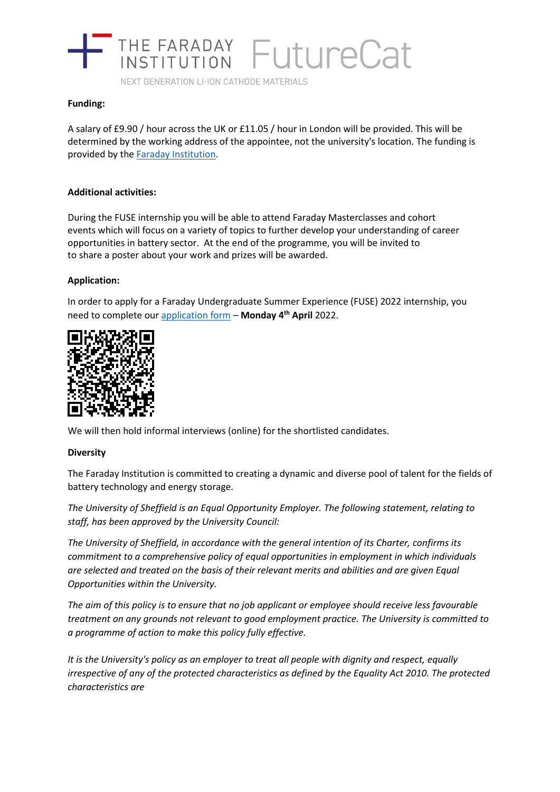

NEXT GENERATION LI-ION CATHODE MATERIALS

### **Funding:**

A salary of £9.90 / hour across the UK or £11.05 / hour in London will be provided. This will be determined by the working address of the appointee, not the university's location. The funding is provided by the [Faraday Institution.](https://www.faraday.ac.uk/)

### **Additional activities:**

During the FUSE internship you will be able to attend Faraday Masterclasses and cohort events which will focus on a variety of topics to further develop your understanding of career opportunities in battery sector. At the end of the programme, you will be invited to to share a poster about your work and prizes will be awarded.

# **Application:**

In order to apply for a Faraday Undergraduate Summer Experience (FUSE) 2022 internship, you need to complete ou[r application form](https://www.surveymonkey.co.uk/r/ElecCar) – **Monday 4th April** 2022.



We will then hold informal interviews (online) for the shortlisted candidates.

#### **Diversity**

The Faraday Institution is committed to creating a dynamic and diverse pool of talent for the fields of battery technology and energy storage.

*The University of Sheffield is an Equal Opportunity Employer. The following statement, relating to staff, has been approved by the University Council:*

*The University of Sheffield, in accordance with the general intention of its Charter, confirms its commitment to a comprehensive policy of equal opportunities in employment in which individuals are selected and treated on the basis of their relevant merits and abilities and are given Equal Opportunities within the University.*

*The aim of this policy is to ensure that no job applicant or employee should receive less favourable treatment on any grounds not relevant to good employment practice. The University is committed to a programme of action to make this policy fully effective.*

*It is the University's policy as an employer to treat all people with dignity and respect, equally irrespective of any of the protected characteristics as defined by the Equality Act 2010. The protected characteristics are*